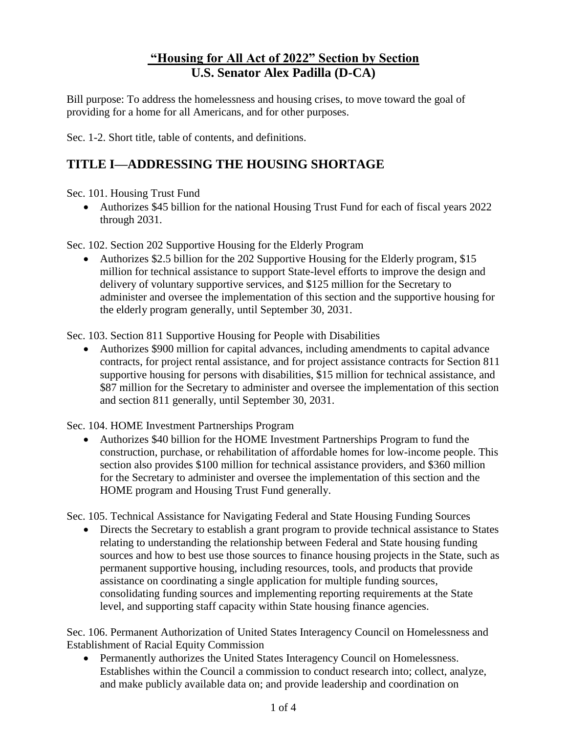## **"Housing for All Act of 2022" Section by Section U.S. Senator Alex Padilla (D-CA)**

Bill purpose: To address the homelessness and housing crises, to move toward the goal of providing for a home for all Americans, and for other purposes.

Sec. 1-2. Short title, table of contents, and definitions.

## **TITLE I—ADDRESSING THE HOUSING SHORTAGE**

Sec. 101. Housing Trust Fund

• Authorizes \$45 billion for the national Housing Trust Fund for each of fiscal years 2022 through 2031.

Sec. 102. Section 202 Supportive Housing for the Elderly Program

• Authorizes \$2.5 billion for the 202 Supportive Housing for the Elderly program, \$15 million for technical assistance to support State-level efforts to improve the design and delivery of voluntary supportive services, and \$125 million for the Secretary to administer and oversee the implementation of this section and the supportive housing for the elderly program generally, until September 30, 2031.

Sec. 103. Section 811 Supportive Housing for People with Disabilities

• Authorizes \$900 million for capital advances, including amendments to capital advance contracts, for project rental assistance, and for project assistance contracts for Section 811 supportive housing for persons with disabilities, \$15 million for technical assistance, and \$87 million for the Secretary to administer and oversee the implementation of this section and section 811 generally, until September 30, 2031.

Sec. 104. HOME Investment Partnerships Program

• Authorizes \$40 billion for the HOME Investment Partnerships Program to fund the construction, purchase, or rehabilitation of affordable homes for low-income people. This section also provides \$100 million for technical assistance providers, and \$360 million for the Secretary to administer and oversee the implementation of this section and the HOME program and Housing Trust Fund generally.

Sec. 105. Technical Assistance for Navigating Federal and State Housing Funding Sources

• Directs the Secretary to establish a grant program to provide technical assistance to States relating to understanding the relationship between Federal and State housing funding sources and how to best use those sources to finance housing projects in the State, such as permanent supportive housing, including resources, tools, and products that provide assistance on coordinating a single application for multiple funding sources, consolidating funding sources and implementing reporting requirements at the State level, and supporting staff capacity within State housing finance agencies.

Sec. 106. Permanent Authorization of United States Interagency Council on Homelessness and Establishment of Racial Equity Commission

• Permanently authorizes the United States Interagency Council on Homelessness. Establishes within the Council a commission to conduct research into; collect, analyze, and make publicly available data on; and provide leadership and coordination on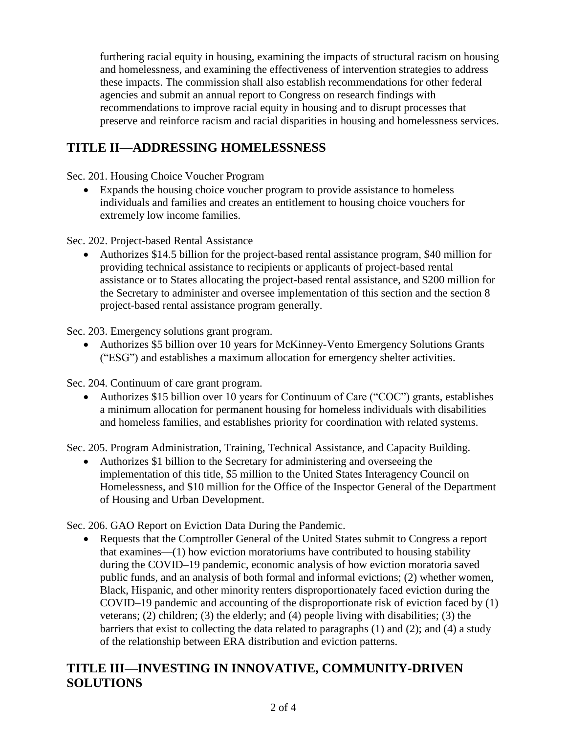furthering racial equity in housing, examining the impacts of structural racism on housing and homelessness, and examining the effectiveness of intervention strategies to address these impacts. The commission shall also establish recommendations for other federal agencies and submit an annual report to Congress on research findings with recommendations to improve racial equity in housing and to disrupt processes that preserve and reinforce racism and racial disparities in housing and homelessness services.

## **TITLE II—ADDRESSING HOMELESSNESS**

Sec. 201. Housing Choice Voucher Program

• Expands the housing choice voucher program to provide assistance to homeless individuals and families and creates an entitlement to housing choice vouchers for extremely low income families.

Sec. 202. Project-based Rental Assistance

• Authorizes \$14.5 billion for the project-based rental assistance program, \$40 million for providing technical assistance to recipients or applicants of project-based rental assistance or to States allocating the project-based rental assistance, and \$200 million for the Secretary to administer and oversee implementation of this section and the section 8 project-based rental assistance program generally.

Sec. 203. Emergency solutions grant program.

• Authorizes \$5 billion over 10 years for McKinney-Vento Emergency Solutions Grants ("ESG") and establishes a maximum allocation for emergency shelter activities.

Sec. 204. Continuum of care grant program.

• Authorizes \$15 billion over 10 years for Continuum of Care ("COC") grants, establishes a minimum allocation for permanent housing for homeless individuals with disabilities and homeless families, and establishes priority for coordination with related systems.

Sec. 205. Program Administration, Training, Technical Assistance, and Capacity Building.

• Authorizes \$1 billion to the Secretary for administering and overseeing the implementation of this title, \$5 million to the United States Interagency Council on Homelessness, and \$10 million for the Office of the Inspector General of the Department of Housing and Urban Development.

Sec. 206. GAO Report on Eviction Data During the Pandemic.

• Requests that the Comptroller General of the United States submit to Congress a report that examines—(1) how eviction moratoriums have contributed to housing stability during the COVID–19 pandemic, economic analysis of how eviction moratoria saved public funds, and an analysis of both formal and informal evictions; (2) whether women, Black, Hispanic, and other minority renters disproportionately faced eviction during the COVID–19 pandemic and accounting of the disproportionate risk of eviction faced by (1) veterans; (2) children; (3) the elderly; and (4) people living with disabilities; (3) the barriers that exist to collecting the data related to paragraphs (1) and (2); and (4) a study of the relationship between ERA distribution and eviction patterns.

## **TITLE III—INVESTING IN INNOVATIVE, COMMUNITY-DRIVEN SOLUTIONS**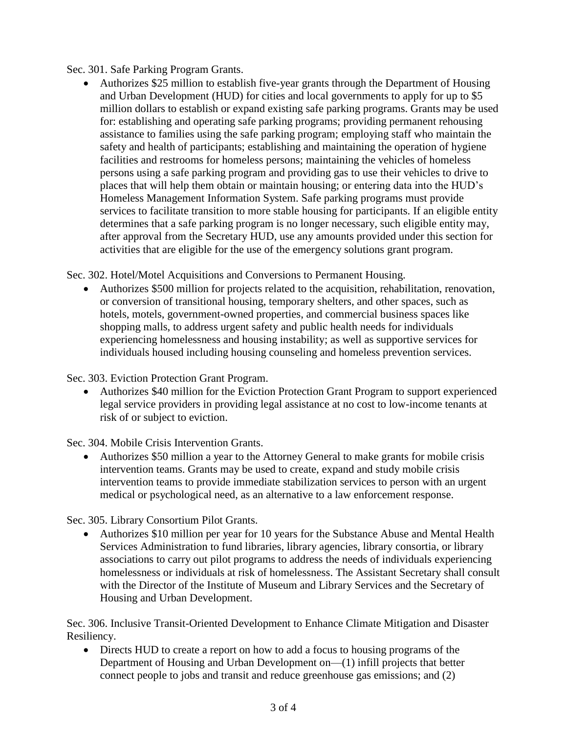Sec. 301. Safe Parking Program Grants.

• Authorizes \$25 million to establish five-year grants through the Department of Housing and Urban Development (HUD) for cities and local governments to apply for up to \$5 million dollars to establish or expand existing safe parking programs. Grants may be used for: establishing and operating safe parking programs; providing permanent rehousing assistance to families using the safe parking program; employing staff who maintain the safety and health of participants; establishing and maintaining the operation of hygiene facilities and restrooms for homeless persons; maintaining the vehicles of homeless persons using a safe parking program and providing gas to use their vehicles to drive to places that will help them obtain or maintain housing; or entering data into the HUD's Homeless Management Information System. Safe parking programs must provide services to facilitate transition to more stable housing for participants. If an eligible entity determines that a safe parking program is no longer necessary, such eligible entity may, after approval from the Secretary HUD, use any amounts provided under this section for activities that are eligible for the use of the emergency solutions grant program.

Sec. 302. Hotel/Motel Acquisitions and Conversions to Permanent Housing.

• Authorizes \$500 million for projects related to the acquisition, rehabilitation, renovation, or conversion of transitional housing, temporary shelters, and other spaces, such as hotels, motels, government-owned properties, and commercial business spaces like shopping malls, to address urgent safety and public health needs for individuals experiencing homelessness and housing instability; as well as supportive services for individuals housed including housing counseling and homeless prevention services.

Sec. 303. Eviction Protection Grant Program.

• Authorizes \$40 million for the Eviction Protection Grant Program to support experienced legal service providers in providing legal assistance at no cost to low-income tenants at risk of or subject to eviction.

Sec. 304. Mobile Crisis Intervention Grants.

• Authorizes \$50 million a year to the Attorney General to make grants for mobile crisis intervention teams. Grants may be used to create, expand and study mobile crisis intervention teams to provide immediate stabilization services to person with an urgent medical or psychological need, as an alternative to a law enforcement response.

Sec. 305. Library Consortium Pilot Grants.

• Authorizes \$10 million per year for 10 years for the Substance Abuse and Mental Health Services Administration to fund libraries, library agencies, library consortia, or library associations to carry out pilot programs to address the needs of individuals experiencing homelessness or individuals at risk of homelessness. The Assistant Secretary shall consult with the Director of the Institute of Museum and Library Services and the Secretary of Housing and Urban Development.

Sec. 306. Inclusive Transit-Oriented Development to Enhance Climate Mitigation and Disaster Resiliency.

• Directs HUD to create a report on how to add a focus to housing programs of the Department of Housing and Urban Development on—(1) infill projects that better connect people to jobs and transit and reduce greenhouse gas emissions; and (2)